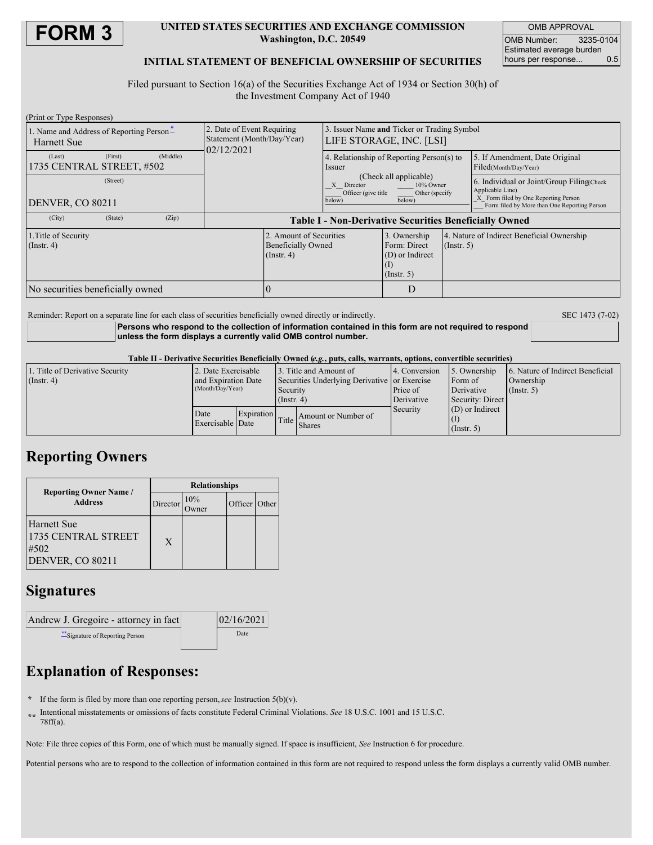

### **UNITED STATES SECURITIES AND EXCHANGE COMMISSION Washington, D.C. 20549**

OMB APPROVAL OMB Number: 3235-0104 Estimated average burden hours per response... 0.5

## **INITIAL STATEMENT OF BENEFICIAL OWNERSHIP OF SECURITIES**

Filed pursuant to Section 16(a) of the Securities Exchange Act of 1934 or Section 30(h) of the Investment Company Act of 1940

| (Print or Type Responses)                                  |                                                                        |                                                                                                                |  |                                                                |                                                                                                                                                       |  |  |  |
|------------------------------------------------------------|------------------------------------------------------------------------|----------------------------------------------------------------------------------------------------------------|--|----------------------------------------------------------------|-------------------------------------------------------------------------------------------------------------------------------------------------------|--|--|--|
| 1. Name and Address of Reporting Person-<br>Harnett Sue    | 2. Date of Event Requiring<br>Statement (Month/Day/Year)<br>02/12/2021 | 3. Issuer Name and Ticker or Trading Symbol<br>LIFE STORAGE, INC. [LSI]                                        |  |                                                                |                                                                                                                                                       |  |  |  |
| (Middle)<br>(First)<br>(Last)<br>1735 CENTRAL STREET, #502 |                                                                        | 4. Relationship of Reporting Person(s) to<br><i>ssuer</i>                                                      |  |                                                                | 5. If Amendment, Date Original<br>Filed(Month/Day/Year)                                                                                               |  |  |  |
| (Street)<br><b>DENVER, CO 80211</b>                        |                                                                        | (Check all applicable)<br>10% Owner<br>X Director<br>Officer (give title<br>Other (specify<br>below)<br>below) |  |                                                                | 6. Individual or Joint/Group Filing(Check<br>Applicable Line)<br>X Form filed by One Reporting Person<br>Form filed by More than One Reporting Person |  |  |  |
|                                                            |                                                                        |                                                                                                                |  |                                                                |                                                                                                                                                       |  |  |  |
| (City)<br>(Zip)<br>(State)                                 | <b>Table I - Non-Derivative Securities Beneficially Owned</b>          |                                                                                                                |  |                                                                |                                                                                                                                                       |  |  |  |
| 1. Title of Security<br>$($ Instr. 4 $)$                   | $($ Instr. 4 $)$                                                       | 2. Amount of Securities<br>3. Ownership<br><b>Beneficially Owned</b><br>Form: Direct                           |  | 4. Nature of Indirect Beneficial Ownership<br>$($ Instr. 5 $)$ |                                                                                                                                                       |  |  |  |
| No securities beneficially owned                           |                                                                        |                                                                                                                |  |                                                                |                                                                                                                                                       |  |  |  |

Reminder: Report on a separate line for each class of securities beneficially owned directly or indirectly. SEC 1473 (7-02)

**Persons who respond to the collection of information contained in this form are not required to respond unless the form displays a currently valid OMB control number.**

#### Table II - Derivative Securities Beneficially Owned (e.g., puts, calls, warrants, options, convertible securities)

| 1. Title of Derivative Security | 2. Date Exercisable      |                   |                                    | 13. Title and Amount of                      | 4. Conversion | 5. Ownership     | 6. Nature of Indirect Beneficial |
|---------------------------------|--------------------------|-------------------|------------------------------------|----------------------------------------------|---------------|------------------|----------------------------------|
| $($ Instr. 4 $)$                | and Expiration Date      |                   |                                    | Securities Underlying Derivative or Exercise |               | Form of          | Ownership                        |
|                                 | (Month/Day/Year)         |                   | Security                           |                                              | Price of      | Derivative       | $($ Instr. 5 $)$                 |
|                                 |                          |                   | $($ Instr. 4)                      |                                              | Derivative    | Security: Direct |                                  |
|                                 | Date<br>Exercisable Date | <b>Expiration</b> | $\left \text{Title}\right $ Shares |                                              | Security      | (D) or Indirect  |                                  |
|                                 |                          |                   |                                    | Amount or Number of                          |               |                  |                                  |
|                                 |                          |                   |                                    |                                              |               | $($ Instr. 5 $)$ |                                  |

## **Reporting Owners**

|                                                                | <b>Relationships</b> |              |               |  |  |  |
|----------------------------------------------------------------|----------------------|--------------|---------------|--|--|--|
| <b>Reporting Owner Name</b> /<br><b>Address</b>                | Director             | 10%<br>)wner | Officer Other |  |  |  |
| Harnett Sue<br>1735 CENTRAL STREET<br>#502<br>DENVER, CO 80211 | X                    |              |               |  |  |  |

## **Signatures**

| Andrew J. Gregoire - attorney in fact | 02/16/2021 |  |  |
|---------------------------------------|------------|--|--|
| ** Signature of Reporting Person      | Date       |  |  |

# **Explanation of Responses:**

- **\*** If the form is filed by more than one reporting person,*see* Instruction 5(b)(v).
- **\*\*** Intentional misstatements or omissions of facts constitute Federal Criminal Violations. *See* 18 U.S.C. 1001 and 15 U.S.C. 78ff(a).

Note: File three copies of this Form, one of which must be manually signed. If space is insufficient, *See* Instruction 6 for procedure.

Potential persons who are to respond to the collection of information contained in this form are not required to respond unless the form displays a currently valid OMB number.